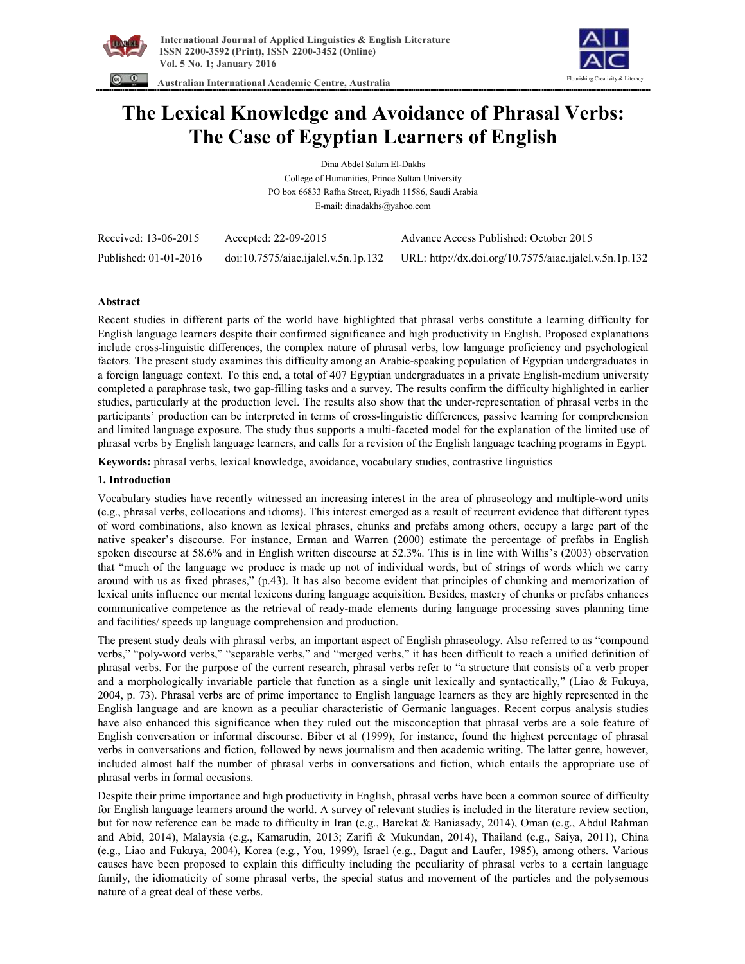



 **Australian International Academic Centre, Australia** 

# **The Lexical Knowledge and Avoidance of Phrasal Verbs: The Case of Egyptian Learners of English**

Dina Abdel Salam El-Dakhs College of Humanities, Prince Sultan University PO box 66833 Rafha Street, Riyadh 11586, Saudi Arabia E-mail: dinadakhs@yahoo.com

| Received: 13-06-2015  | Accepted: 22-09-2015                | Advance Access Published: October 2015                 |
|-----------------------|-------------------------------------|--------------------------------------------------------|
| Published: 01-01-2016 | doi:10.7575/aiac.ijalel.v.5n.1p.132 | URL: http://dx.doi.org/10.7575/aiac.ijalel.v.5n.1p.132 |

# **Abstract**

Recent studies in different parts of the world have highlighted that phrasal verbs constitute a learning difficulty for English language learners despite their confirmed significance and high productivity in English. Proposed explanations include cross-linguistic differences, the complex nature of phrasal verbs, low language proficiency and psychological factors. The present study examines this difficulty among an Arabic-speaking population of Egyptian undergraduates in a foreign language context. To this end, a total of 407 Egyptian undergraduates in a private English-medium university completed a paraphrase task, two gap-filling tasks and a survey. The results confirm the difficulty highlighted in earlier studies, particularly at the production level. The results also show that the under-representation of phrasal verbs in the participants' production can be interpreted in terms of cross-linguistic differences, passive learning for comprehension and limited language exposure. The study thus supports a multi-faceted model for the explanation of the limited use of phrasal verbs by English language learners, and calls for a revision of the English language teaching programs in Egypt.

**Keywords:** phrasal verbs, lexical knowledge, avoidance, vocabulary studies, contrastive linguistics

# **1. Introduction**

Vocabulary studies have recently witnessed an increasing interest in the area of phraseology and multiple-word units (e.g., phrasal verbs, collocations and idioms). This interest emerged as a result of recurrent evidence that different types of word combinations, also known as lexical phrases, chunks and prefabs among others, occupy a large part of the native speaker's discourse. For instance, Erman and Warren (2000) estimate the percentage of prefabs in English spoken discourse at 58.6% and in English written discourse at 52.3%. This is in line with Willis's (2003) observation that "much of the language we produce is made up not of individual words, but of strings of words which we carry around with us as fixed phrases," (p.43). It has also become evident that principles of chunking and memorization of lexical units influence our mental lexicons during language acquisition. Besides, mastery of chunks or prefabs enhances communicative competence as the retrieval of ready-made elements during language processing saves planning time and facilities/ speeds up language comprehension and production.

The present study deals with phrasal verbs, an important aspect of English phraseology. Also referred to as "compound verbs," "poly-word verbs," "separable verbs," and "merged verbs," it has been difficult to reach a unified definition of phrasal verbs. For the purpose of the current research, phrasal verbs refer to "a structure that consists of a verb proper and a morphologically invariable particle that function as a single unit lexically and syntactically," (Liao & Fukuya, 2004, p. 73). Phrasal verbs are of prime importance to English language learners as they are highly represented in the English language and are known as a peculiar characteristic of Germanic languages. Recent corpus analysis studies have also enhanced this significance when they ruled out the misconception that phrasal verbs are a sole feature of English conversation or informal discourse. Biber et al (1999), for instance, found the highest percentage of phrasal verbs in conversations and fiction, followed by news journalism and then academic writing. The latter genre, however, included almost half the number of phrasal verbs in conversations and fiction, which entails the appropriate use of phrasal verbs in formal occasions.

Despite their prime importance and high productivity in English, phrasal verbs have been a common source of difficulty for English language learners around the world. A survey of relevant studies is included in the literature review section, but for now reference can be made to difficulty in Iran (e.g., Barekat & Baniasady, 2014), Oman (e.g., Abdul Rahman and Abid, 2014), Malaysia (e.g., Kamarudin, 2013; Zarifi & Mukundan, 2014), Thailand (e.g., Saiya, 2011), China (e.g., Liao and Fukuya, 2004), Korea (e.g., You, 1999), Israel (e.g., Dagut and Laufer, 1985), among others. Various causes have been proposed to explain this difficulty including the peculiarity of phrasal verbs to a certain language family, the idiomaticity of some phrasal verbs, the special status and movement of the particles and the polysemous nature of a great deal of these verbs.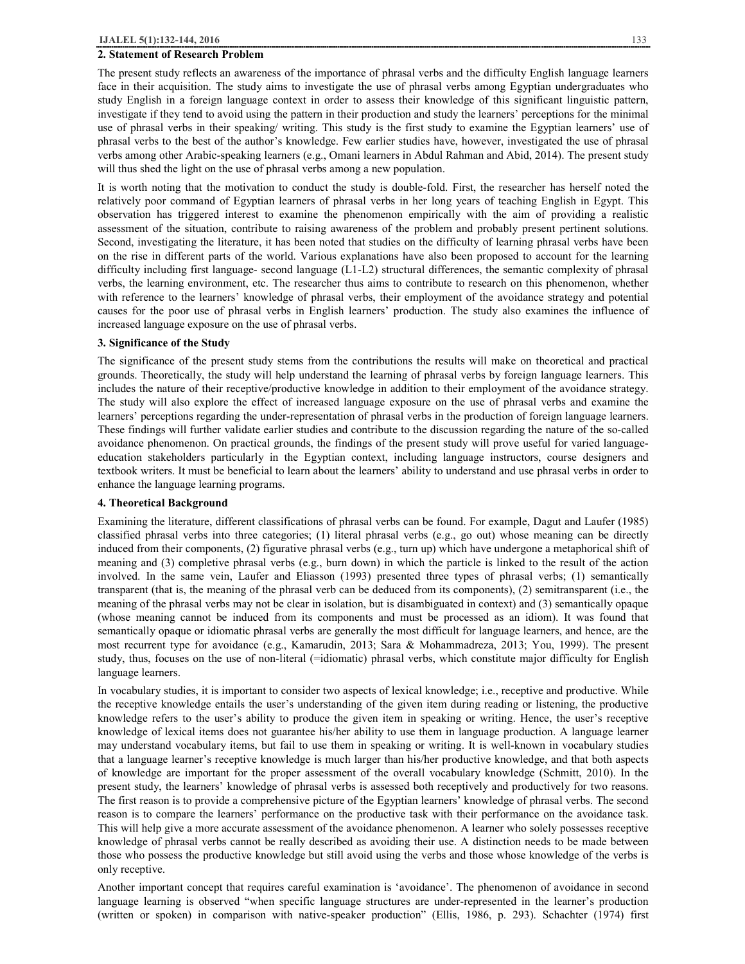## **2. Statement of Research Problem**

The present study reflects an awareness of the importance of phrasal verbs and the difficulty English language learners face in their acquisition. The study aims to investigate the use of phrasal verbs among Egyptian undergraduates who study English in a foreign language context in order to assess their knowledge of this significant linguistic pattern, investigate if they tend to avoid using the pattern in their production and study the learners' perceptions for the minimal use of phrasal verbs in their speaking/ writing. This study is the first study to examine the Egyptian learners' use of phrasal verbs to the best of the author's knowledge. Few earlier studies have, however, investigated the use of phrasal verbs among other Arabic-speaking learners (e.g., Omani learners in Abdul Rahman and Abid, 2014). The present study will thus shed the light on the use of phrasal verbs among a new population.

It is worth noting that the motivation to conduct the study is double-fold. First, the researcher has herself noted the relatively poor command of Egyptian learners of phrasal verbs in her long years of teaching English in Egypt. This observation has triggered interest to examine the phenomenon empirically with the aim of providing a realistic assessment of the situation, contribute to raising awareness of the problem and probably present pertinent solutions. Second, investigating the literature, it has been noted that studies on the difficulty of learning phrasal verbs have been on the rise in different parts of the world. Various explanations have also been proposed to account for the learning difficulty including first language- second language (L1-L2) structural differences, the semantic complexity of phrasal verbs, the learning environment, etc. The researcher thus aims to contribute to research on this phenomenon, whether with reference to the learners' knowledge of phrasal verbs, their employment of the avoidance strategy and potential causes for the poor use of phrasal verbs in English learners' production. The study also examines the influence of increased language exposure on the use of phrasal verbs.

#### **3. Significance of the Study**

The significance of the present study stems from the contributions the results will make on theoretical and practical grounds. Theoretically, the study will help understand the learning of phrasal verbs by foreign language learners. This includes the nature of their receptive/productive knowledge in addition to their employment of the avoidance strategy. The study will also explore the effect of increased language exposure on the use of phrasal verbs and examine the learners' perceptions regarding the under-representation of phrasal verbs in the production of foreign language learners. These findings will further validate earlier studies and contribute to the discussion regarding the nature of the so-called avoidance phenomenon. On practical grounds, the findings of the present study will prove useful for varied languageeducation stakeholders particularly in the Egyptian context, including language instructors, course designers and textbook writers. It must be beneficial to learn about the learners' ability to understand and use phrasal verbs in order to enhance the language learning programs.

## **4. Theoretical Background**

Examining the literature, different classifications of phrasal verbs can be found. For example, Dagut and Laufer (1985) classified phrasal verbs into three categories; (1) literal phrasal verbs (e.g., go out) whose meaning can be directly induced from their components, (2) figurative phrasal verbs (e.g., turn up) which have undergone a metaphorical shift of meaning and (3) completive phrasal verbs (e.g., burn down) in which the particle is linked to the result of the action involved. In the same vein, Laufer and Eliasson (1993) presented three types of phrasal verbs; (1) semantically transparent (that is, the meaning of the phrasal verb can be deduced from its components), (2) semitransparent (i.e., the meaning of the phrasal verbs may not be clear in isolation, but is disambiguated in context) and (3) semantically opaque (whose meaning cannot be induced from its components and must be processed as an idiom). It was found that semantically opaque or idiomatic phrasal verbs are generally the most difficult for language learners, and hence, are the most recurrent type for avoidance (e.g., Kamarudin, 2013; Sara & Mohammadreza, 2013; You, 1999). The present study, thus, focuses on the use of non-literal (=idiomatic) phrasal verbs, which constitute major difficulty for English language learners.

In vocabulary studies, it is important to consider two aspects of lexical knowledge; i.e., receptive and productive. While the receptive knowledge entails the user's understanding of the given item during reading or listening, the productive knowledge refers to the user's ability to produce the given item in speaking or writing. Hence, the user's receptive knowledge of lexical items does not guarantee his/her ability to use them in language production. A language learner may understand vocabulary items, but fail to use them in speaking or writing. It is well-known in vocabulary studies that a language learner's receptive knowledge is much larger than his/her productive knowledge, and that both aspects of knowledge are important for the proper assessment of the overall vocabulary knowledge (Schmitt, 2010). In the present study, the learners' knowledge of phrasal verbs is assessed both receptively and productively for two reasons. The first reason is to provide a comprehensive picture of the Egyptian learners' knowledge of phrasal verbs. The second reason is to compare the learners' performance on the productive task with their performance on the avoidance task. This will help give a more accurate assessment of the avoidance phenomenon. A learner who solely possesses receptive knowledge of phrasal verbs cannot be really described as avoiding their use. A distinction needs to be made between those who possess the productive knowledge but still avoid using the verbs and those whose knowledge of the verbs is only receptive.

Another important concept that requires careful examination is 'avoidance'. The phenomenon of avoidance in second language learning is observed "when specific language structures are under-represented in the learner's production (written or spoken) in comparison with native-speaker production" (Ellis, 1986, p. 293). Schachter (1974) first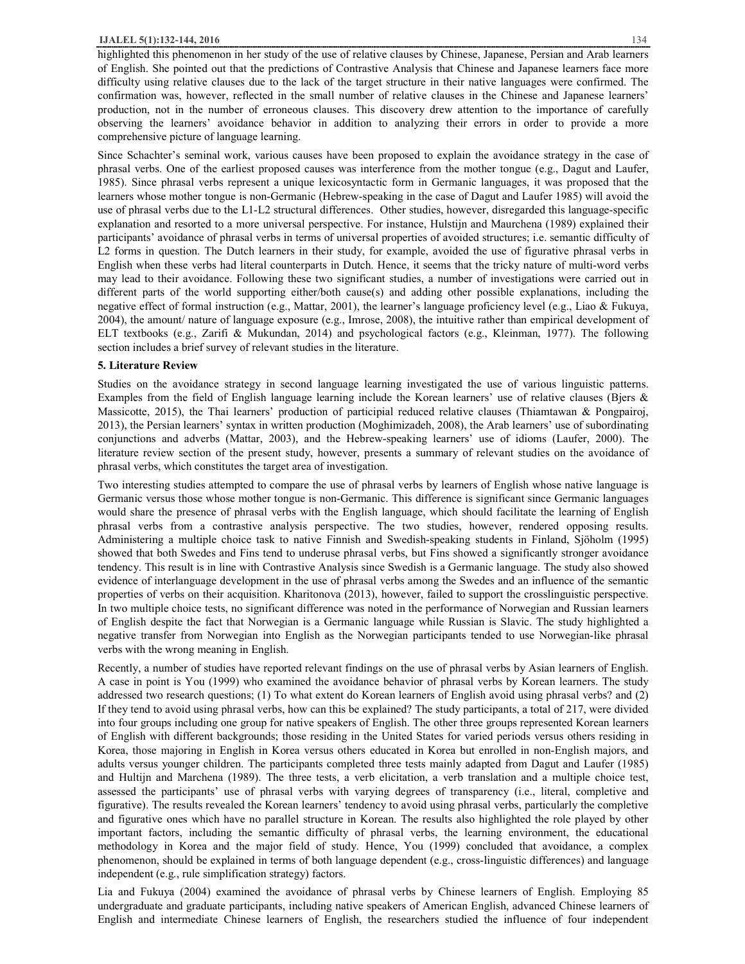### **IJALEL 5(1):132-144, 2016** 134

highlighted this phenomenon in her study of the use of relative clauses by Chinese, Japanese, Persian and Arab learners of English. She pointed out that the predictions of Contrastive Analysis that Chinese and Japanese learners face more difficulty using relative clauses due to the lack of the target structure in their native languages were confirmed. The confirmation was, however, reflected in the small number of relative clauses in the Chinese and Japanese learners' production, not in the number of erroneous clauses. This discovery drew attention to the importance of carefully observing the learners' avoidance behavior in addition to analyzing their errors in order to provide a more comprehensive picture of language learning.

Since Schachter's seminal work, various causes have been proposed to explain the avoidance strategy in the case of phrasal verbs. One of the earliest proposed causes was interference from the mother tongue (e.g., Dagut and Laufer, 1985). Since phrasal verbs represent a unique lexicosyntactic form in Germanic languages, it was proposed that the learners whose mother tongue is non-Germanic (Hebrew-speaking in the case of Dagut and Laufer 1985) will avoid the use of phrasal verbs due to the L1-L2 structural differences. Other studies, however, disregarded this language-specific explanation and resorted to a more universal perspective. For instance, Hulstijn and Maurchena (1989) explained their participants' avoidance of phrasal verbs in terms of universal properties of avoided structures; i.e. semantic difficulty of L2 forms in question. The Dutch learners in their study, for example, avoided the use of figurative phrasal verbs in English when these verbs had literal counterparts in Dutch. Hence, it seems that the tricky nature of multi-word verbs may lead to their avoidance. Following these two significant studies, a number of investigations were carried out in different parts of the world supporting either/both cause(s) and adding other possible explanations, including the negative effect of formal instruction (e.g., Mattar, 2001), the learner's language proficiency level (e.g., Liao & Fukuya, 2004), the amount/ nature of language exposure (e.g., Imrose, 2008), the intuitive rather than empirical development of ELT textbooks (e.g., Zarifi & Mukundan, 2014) and psychological factors (e.g., Kleinman, 1977). The following section includes a brief survey of relevant studies in the literature.

#### **5. Literature Review**

Studies on the avoidance strategy in second language learning investigated the use of various linguistic patterns. Examples from the field of English language learning include the Korean learners' use of relative clauses (Bjers & Massicotte, 2015), the Thai learners' production of participial reduced relative clauses (Thiamtawan & Pongpairoj, 2013), the Persian learners' syntax in written production (Moghimizadeh, 2008), the Arab learners' use of subordinating conjunctions and adverbs (Mattar, 2003), and the Hebrew-speaking learners' use of idioms (Laufer, 2000). The literature review section of the present study, however, presents a summary of relevant studies on the avoidance of phrasal verbs, which constitutes the target area of investigation.

Two interesting studies attempted to compare the use of phrasal verbs by learners of English whose native language is Germanic versus those whose mother tongue is non-Germanic. This difference is significant since Germanic languages would share the presence of phrasal verbs with the English language, which should facilitate the learning of English phrasal verbs from a contrastive analysis perspective. The two studies, however, rendered opposing results. Administering a multiple choice task to native Finnish and Swedish-speaking students in Finland, Sjöholm (1995) showed that both Swedes and Fins tend to underuse phrasal verbs, but Fins showed a significantly stronger avoidance tendency. This result is in line with Contrastive Analysis since Swedish is a Germanic language. The study also showed evidence of interlanguage development in the use of phrasal verbs among the Swedes and an influence of the semantic properties of verbs on their acquisition. Kharitonova (2013), however, failed to support the crosslinguistic perspective. In two multiple choice tests, no significant difference was noted in the performance of Norwegian and Russian learners of English despite the fact that Norwegian is a Germanic language while Russian is Slavic. The study highlighted a negative transfer from Norwegian into English as the Norwegian participants tended to use Norwegian-like phrasal verbs with the wrong meaning in English.

Recently, a number of studies have reported relevant findings on the use of phrasal verbs by Asian learners of English. A case in point is You (1999) who examined the avoidance behavior of phrasal verbs by Korean learners. The study addressed two research questions; (1) To what extent do Korean learners of English avoid using phrasal verbs? and (2) If they tend to avoid using phrasal verbs, how can this be explained? The study participants, a total of 217, were divided into four groups including one group for native speakers of English. The other three groups represented Korean learners of English with different backgrounds; those residing in the United States for varied periods versus others residing in Korea, those majoring in English in Korea versus others educated in Korea but enrolled in non-English majors, and adults versus younger children. The participants completed three tests mainly adapted from Dagut and Laufer (1985) and Hultijn and Marchena (1989). The three tests, a verb elicitation, a verb translation and a multiple choice test, assessed the participants' use of phrasal verbs with varying degrees of transparency (i.e., literal, completive and figurative). The results revealed the Korean learners' tendency to avoid using phrasal verbs, particularly the completive and figurative ones which have no parallel structure in Korean. The results also highlighted the role played by other important factors, including the semantic difficulty of phrasal verbs, the learning environment, the educational methodology in Korea and the major field of study. Hence, You (1999) concluded that avoidance, a complex phenomenon, should be explained in terms of both language dependent (e.g., cross-linguistic differences) and language independent (e.g., rule simplification strategy) factors.

Lia and Fukuya (2004) examined the avoidance of phrasal verbs by Chinese learners of English. Employing 85 undergraduate and graduate participants, including native speakers of American English, advanced Chinese learners of English and intermediate Chinese learners of English, the researchers studied the influence of four independent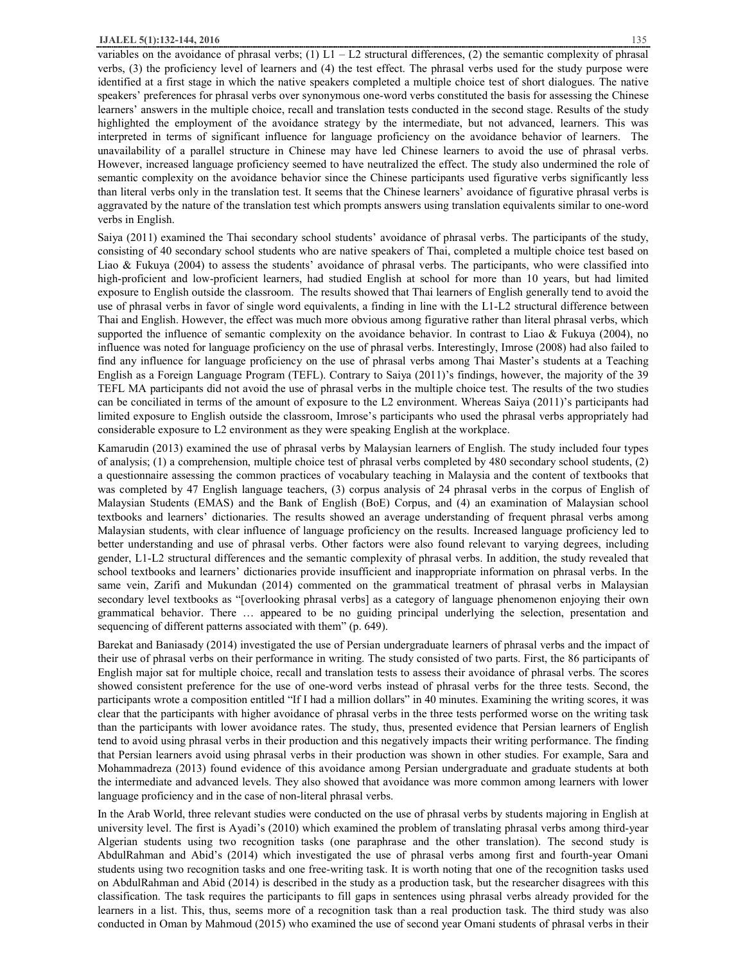variables on the avoidance of phrasal verbs;  $(1) L1 - L2$  structural differences,  $(2)$  the semantic complexity of phrasal verbs, (3) the proficiency level of learners and (4) the test effect. The phrasal verbs used for the study purpose were identified at a first stage in which the native speakers completed a multiple choice test of short dialogues. The native speakers' preferences for phrasal verbs over synonymous one-word verbs constituted the basis for assessing the Chinese learners' answers in the multiple choice, recall and translation tests conducted in the second stage. Results of the study highlighted the employment of the avoidance strategy by the intermediate, but not advanced, learners. This was interpreted in terms of significant influence for language proficiency on the avoidance behavior of learners. The unavailability of a parallel structure in Chinese may have led Chinese learners to avoid the use of phrasal verbs. However, increased language proficiency seemed to have neutralized the effect. The study also undermined the role of semantic complexity on the avoidance behavior since the Chinese participants used figurative verbs significantly less than literal verbs only in the translation test. It seems that the Chinese learners' avoidance of figurative phrasal verbs is aggravated by the nature of the translation test which prompts answers using translation equivalents similar to one-word verbs in English.

Saiya (2011) examined the Thai secondary school students' avoidance of phrasal verbs. The participants of the study, consisting of 40 secondary school students who are native speakers of Thai, completed a multiple choice test based on Liao & Fukuya (2004) to assess the students' avoidance of phrasal verbs. The participants, who were classified into high-proficient and low-proficient learners, had studied English at school for more than 10 years, but had limited exposure to English outside the classroom. The results showed that Thai learners of English generally tend to avoid the use of phrasal verbs in favor of single word equivalents, a finding in line with the L1-L2 structural difference between Thai and English. However, the effect was much more obvious among figurative rather than literal phrasal verbs, which supported the influence of semantic complexity on the avoidance behavior. In contrast to Liao & Fukuya (2004), no influence was noted for language proficiency on the use of phrasal verbs. Interestingly, Imrose (2008) had also failed to find any influence for language proficiency on the use of phrasal verbs among Thai Master's students at a Teaching English as a Foreign Language Program (TEFL). Contrary to Saiya (2011)'s findings, however, the majority of the 39 TEFL MA participants did not avoid the use of phrasal verbs in the multiple choice test. The results of the two studies can be conciliated in terms of the amount of exposure to the L2 environment. Whereas Saiya (2011)'s participants had limited exposure to English outside the classroom, Imrose's participants who used the phrasal verbs appropriately had considerable exposure to L2 environment as they were speaking English at the workplace.

Kamarudin (2013) examined the use of phrasal verbs by Malaysian learners of English. The study included four types of analysis; (1) a comprehension, multiple choice test of phrasal verbs completed by 480 secondary school students, (2) a questionnaire assessing the common practices of vocabulary teaching in Malaysia and the content of textbooks that was completed by 47 English language teachers, (3) corpus analysis of 24 phrasal verbs in the corpus of English of Malaysian Students (EMAS) and the Bank of English (BoE) Corpus, and (4) an examination of Malaysian school textbooks and learners' dictionaries. The results showed an average understanding of frequent phrasal verbs among Malaysian students, with clear influence of language proficiency on the results. Increased language proficiency led to better understanding and use of phrasal verbs. Other factors were also found relevant to varying degrees, including gender, L1-L2 structural differences and the semantic complexity of phrasal verbs. In addition, the study revealed that school textbooks and learners' dictionaries provide insufficient and inappropriate information on phrasal verbs. In the same vein, Zarifi and Mukundan (2014) commented on the grammatical treatment of phrasal verbs in Malaysian secondary level textbooks as "[overlooking phrasal verbs] as a category of language phenomenon enjoying their own grammatical behavior. There … appeared to be no guiding principal underlying the selection, presentation and sequencing of different patterns associated with them" (p. 649).

Barekat and Baniasady (2014) investigated the use of Persian undergraduate learners of phrasal verbs and the impact of their use of phrasal verbs on their performance in writing. The study consisted of two parts. First, the 86 participants of English major sat for multiple choice, recall and translation tests to assess their avoidance of phrasal verbs. The scores showed consistent preference for the use of one-word verbs instead of phrasal verbs for the three tests. Second, the participants wrote a composition entitled "If I had a million dollars" in 40 minutes. Examining the writing scores, it was clear that the participants with higher avoidance of phrasal verbs in the three tests performed worse on the writing task than the participants with lower avoidance rates. The study, thus, presented evidence that Persian learners of English tend to avoid using phrasal verbs in their production and this negatively impacts their writing performance. The finding that Persian learners avoid using phrasal verbs in their production was shown in other studies. For example, Sara and Mohammadreza (2013) found evidence of this avoidance among Persian undergraduate and graduate students at both the intermediate and advanced levels. They also showed that avoidance was more common among learners with lower language proficiency and in the case of non-literal phrasal verbs.

In the Arab World, three relevant studies were conducted on the use of phrasal verbs by students majoring in English at university level. The first is Ayadi's (2010) which examined the problem of translating phrasal verbs among third-year Algerian students using two recognition tasks (one paraphrase and the other translation). The second study is AbdulRahman and Abid's (2014) which investigated the use of phrasal verbs among first and fourth-year Omani students using two recognition tasks and one free-writing task. It is worth noting that one of the recognition tasks used on AbdulRahman and Abid (2014) is described in the study as a production task, but the researcher disagrees with this classification. The task requires the participants to fill gaps in sentences using phrasal verbs already provided for the learners in a list. This, thus, seems more of a recognition task than a real production task. The third study was also conducted in Oman by Mahmoud (2015) who examined the use of second year Omani students of phrasal verbs in their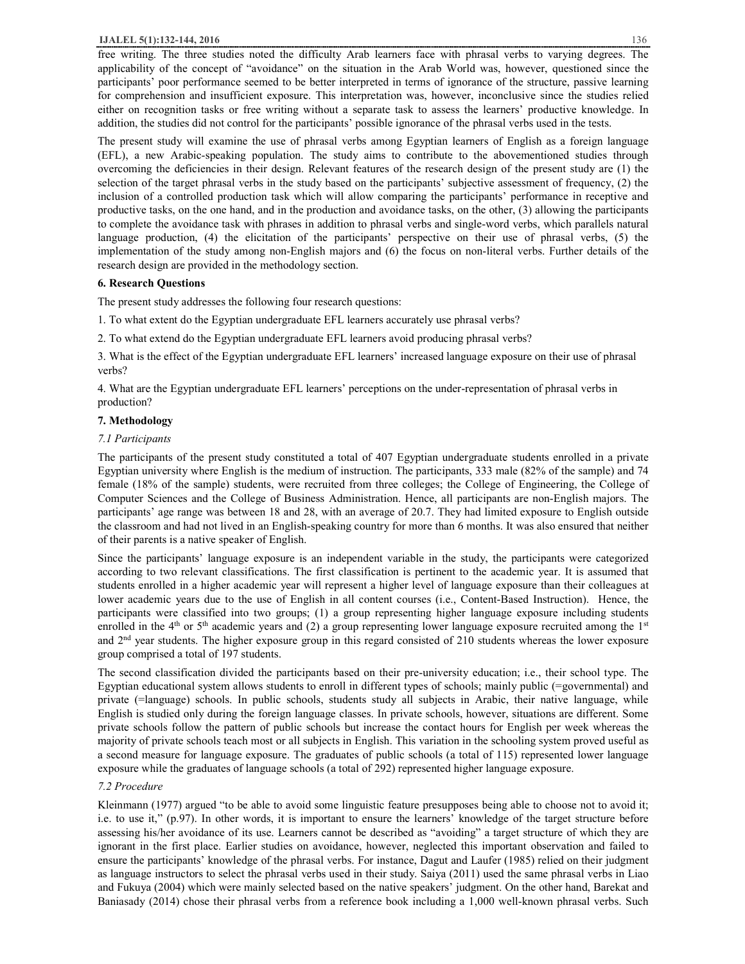free writing. The three studies noted the difficulty Arab learners face with phrasal verbs to varying degrees. The applicability of the concept of "avoidance" on the situation in the Arab World was, however, questioned since the participants' poor performance seemed to be better interpreted in terms of ignorance of the structure, passive learning for comprehension and insufficient exposure. This interpretation was, however, inconclusive since the studies relied either on recognition tasks or free writing without a separate task to assess the learners' productive knowledge. In addition, the studies did not control for the participants' possible ignorance of the phrasal verbs used in the tests.

The present study will examine the use of phrasal verbs among Egyptian learners of English as a foreign language (EFL), a new Arabic-speaking population. The study aims to contribute to the abovementioned studies through overcoming the deficiencies in their design. Relevant features of the research design of the present study are (1) the selection of the target phrasal verbs in the study based on the participants' subjective assessment of frequency, (2) the inclusion of a controlled production task which will allow comparing the participants' performance in receptive and productive tasks, on the one hand, and in the production and avoidance tasks, on the other, (3) allowing the participants to complete the avoidance task with phrases in addition to phrasal verbs and single-word verbs, which parallels natural language production, (4) the elicitation of the participants' perspective on their use of phrasal verbs, (5) the implementation of the study among non-English majors and (6) the focus on non-literal verbs. Further details of the research design are provided in the methodology section.

## **6. Research Questions**

The present study addresses the following four research questions:

- 1. To what extent do the Egyptian undergraduate EFL learners accurately use phrasal verbs?
- 2. To what extend do the Egyptian undergraduate EFL learners avoid producing phrasal verbs?

3. What is the effect of the Egyptian undergraduate EFL learners' increased language exposure on their use of phrasal verbs?

4. What are the Egyptian undergraduate EFL learners' perceptions on the under-representation of phrasal verbs in production?

## **7. Methodology**

## *7.1 Participants*

The participants of the present study constituted a total of 407 Egyptian undergraduate students enrolled in a private Egyptian university where English is the medium of instruction. The participants, 333 male (82% of the sample) and 74 female (18% of the sample) students, were recruited from three colleges; the College of Engineering, the College of Computer Sciences and the College of Business Administration. Hence, all participants are non-English majors. The participants' age range was between 18 and 28, with an average of 20.7. They had limited exposure to English outside the classroom and had not lived in an English-speaking country for more than 6 months. It was also ensured that neither of their parents is a native speaker of English.

Since the participants' language exposure is an independent variable in the study, the participants were categorized according to two relevant classifications. The first classification is pertinent to the academic year. It is assumed that students enrolled in a higher academic year will represent a higher level of language exposure than their colleagues at lower academic years due to the use of English in all content courses (i.e., Content-Based Instruction). Hence, the participants were classified into two groups; (1) a group representing higher language exposure including students enrolled in the  $4<sup>th</sup>$  or  $5<sup>th</sup>$  academic years and (2) a group representing lower language exposure recruited among the  $1<sup>st</sup>$ and 2nd year students. The higher exposure group in this regard consisted of 210 students whereas the lower exposure group comprised a total of 197 students.

The second classification divided the participants based on their pre-university education; i.e., their school type. The Egyptian educational system allows students to enroll in different types of schools; mainly public (=governmental) and private (=language) schools. In public schools, students study all subjects in Arabic, their native language, while English is studied only during the foreign language classes. In private schools, however, situations are different. Some private schools follow the pattern of public schools but increase the contact hours for English per week whereas the majority of private schools teach most or all subjects in English. This variation in the schooling system proved useful as a second measure for language exposure. The graduates of public schools (a total of 115) represented lower language exposure while the graduates of language schools (a total of 292) represented higher language exposure.

## *7.2 Procedure*

Kleinmann (1977) argued "to be able to avoid some linguistic feature presupposes being able to choose not to avoid it; i.e. to use it," (p.97). In other words, it is important to ensure the learners' knowledge of the target structure before assessing his/her avoidance of its use. Learners cannot be described as "avoiding" a target structure of which they are ignorant in the first place. Earlier studies on avoidance, however, neglected this important observation and failed to ensure the participants' knowledge of the phrasal verbs. For instance, Dagut and Laufer (1985) relied on their judgment as language instructors to select the phrasal verbs used in their study. Saiya (2011) used the same phrasal verbs in Liao and Fukuya (2004) which were mainly selected based on the native speakers' judgment. On the other hand, Barekat and Baniasady (2014) chose their phrasal verbs from a reference book including a 1,000 well-known phrasal verbs. Such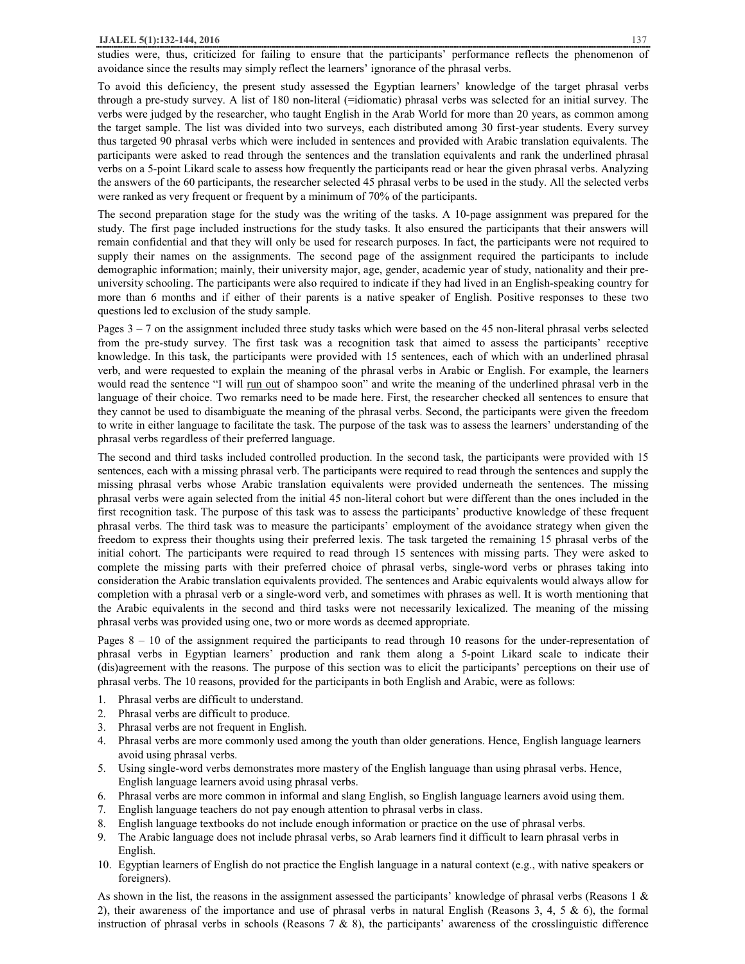studies were, thus, criticized for failing to ensure that the participants' performance reflects the phenomenon of avoidance since the results may simply reflect the learners' ignorance of the phrasal verbs.

To avoid this deficiency, the present study assessed the Egyptian learners' knowledge of the target phrasal verbs through a pre-study survey. A list of 180 non-literal (=idiomatic) phrasal verbs was selected for an initial survey. The verbs were judged by the researcher, who taught English in the Arab World for more than 20 years, as common among the target sample. The list was divided into two surveys, each distributed among 30 first-year students. Every survey thus targeted 90 phrasal verbs which were included in sentences and provided with Arabic translation equivalents. The participants were asked to read through the sentences and the translation equivalents and rank the underlined phrasal verbs on a 5-point Likard scale to assess how frequently the participants read or hear the given phrasal verbs. Analyzing the answers of the 60 participants, the researcher selected 45 phrasal verbs to be used in the study. All the selected verbs were ranked as very frequent or frequent by a minimum of 70% of the participants.

The second preparation stage for the study was the writing of the tasks. A 10-page assignment was prepared for the study. The first page included instructions for the study tasks. It also ensured the participants that their answers will remain confidential and that they will only be used for research purposes. In fact, the participants were not required to supply their names on the assignments. The second page of the assignment required the participants to include demographic information; mainly, their university major, age, gender, academic year of study, nationality and their preuniversity schooling. The participants were also required to indicate if they had lived in an English-speaking country for more than 6 months and if either of their parents is a native speaker of English. Positive responses to these two questions led to exclusion of the study sample.

Pages  $3 - 7$  on the assignment included three study tasks which were based on the 45 non-literal phrasal verbs selected from the pre-study survey. The first task was a recognition task that aimed to assess the participants' receptive knowledge. In this task, the participants were provided with 15 sentences, each of which with an underlined phrasal verb, and were requested to explain the meaning of the phrasal verbs in Arabic or English. For example, the learners would read the sentence "I will run out of shampoo soon" and write the meaning of the underlined phrasal verb in the language of their choice. Two remarks need to be made here. First, the researcher checked all sentences to ensure that they cannot be used to disambiguate the meaning of the phrasal verbs. Second, the participants were given the freedom to write in either language to facilitate the task. The purpose of the task was to assess the learners' understanding of the phrasal verbs regardless of their preferred language.

The second and third tasks included controlled production. In the second task, the participants were provided with 15 sentences, each with a missing phrasal verb. The participants were required to read through the sentences and supply the missing phrasal verbs whose Arabic translation equivalents were provided underneath the sentences. The missing phrasal verbs were again selected from the initial 45 non-literal cohort but were different than the ones included in the first recognition task. The purpose of this task was to assess the participants' productive knowledge of these frequent phrasal verbs. The third task was to measure the participants' employment of the avoidance strategy when given the freedom to express their thoughts using their preferred lexis. The task targeted the remaining 15 phrasal verbs of the initial cohort. The participants were required to read through 15 sentences with missing parts. They were asked to complete the missing parts with their preferred choice of phrasal verbs, single-word verbs or phrases taking into consideration the Arabic translation equivalents provided. The sentences and Arabic equivalents would always allow for completion with a phrasal verb or a single-word verb, and sometimes with phrases as well. It is worth mentioning that the Arabic equivalents in the second and third tasks were not necessarily lexicalized. The meaning of the missing phrasal verbs was provided using one, two or more words as deemed appropriate.

Pages 8 – 10 of the assignment required the participants to read through 10 reasons for the under-representation of phrasal verbs in Egyptian learners' production and rank them along a 5-point Likard scale to indicate their (dis)agreement with the reasons. The purpose of this section was to elicit the participants' perceptions on their use of phrasal verbs. The 10 reasons, provided for the participants in both English and Arabic, were as follows:

- 1. Phrasal verbs are difficult to understand.
- 2. Phrasal verbs are difficult to produce.
- 3. Phrasal verbs are not frequent in English.
- 4. Phrasal verbs are more commonly used among the youth than older generations. Hence, English language learners avoid using phrasal verbs.
- 5. Using single-word verbs demonstrates more mastery of the English language than using phrasal verbs. Hence, English language learners avoid using phrasal verbs.
- 6. Phrasal verbs are more common in informal and slang English, so English language learners avoid using them.
- 7. English language teachers do not pay enough attention to phrasal verbs in class.
- 8. English language textbooks do not include enough information or practice on the use of phrasal verbs.
- 9. The Arabic language does not include phrasal verbs, so Arab learners find it difficult to learn phrasal verbs in English.
- 10. Egyptian learners of English do not practice the English language in a natural context (e.g., with native speakers or foreigners).

As shown in the list, the reasons in the assignment assessed the participants' knowledge of phrasal verbs (Reasons 1  $\&$ 2), their awareness of the importance and use of phrasal verbs in natural English (Reasons 3, 4, 5  $\&$  6), the formal instruction of phrasal verbs in schools (Reasons  $7 \& 8$ ), the participants' awareness of the crosslinguistic difference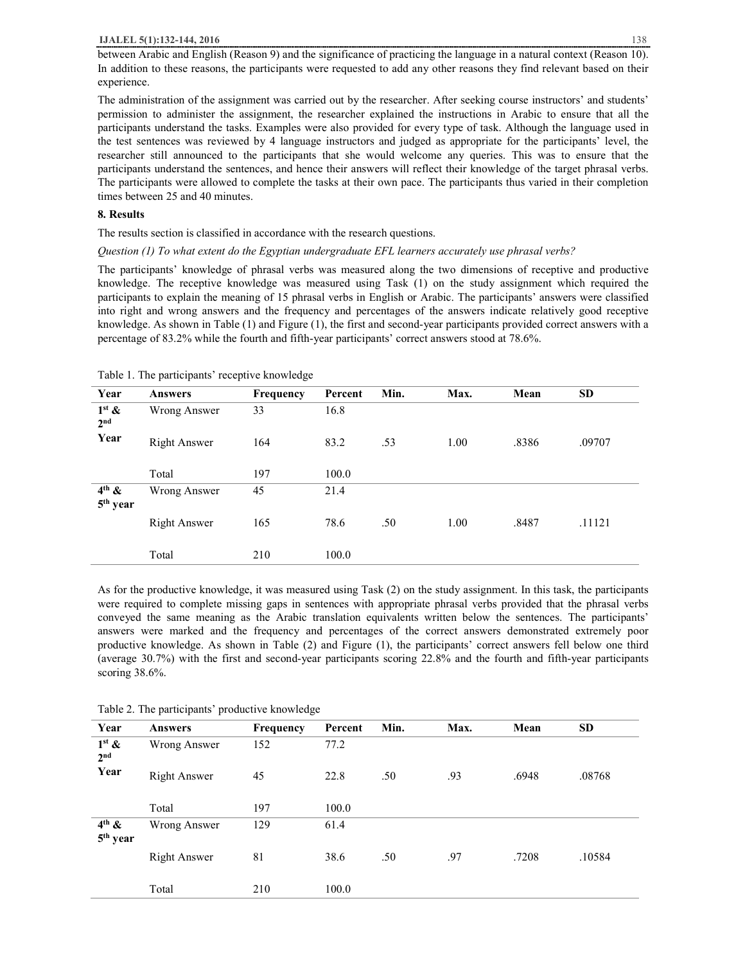### **IJALEL 5(1):132-144, 2016** 138

between Arabic and English (Reason 9) and the significance of practicing the language in a natural context (Reason 10). In addition to these reasons, the participants were requested to add any other reasons they find relevant based on their experience.

The administration of the assignment was carried out by the researcher. After seeking course instructors' and students' permission to administer the assignment, the researcher explained the instructions in Arabic to ensure that all the participants understand the tasks. Examples were also provided for every type of task. Although the language used in the test sentences was reviewed by 4 language instructors and judged as appropriate for the participants' level, the researcher still announced to the participants that she would welcome any queries. This was to ensure that the participants understand the sentences, and hence their answers will reflect their knowledge of the target phrasal verbs. The participants were allowed to complete the tasks at their own pace. The participants thus varied in their completion times between 25 and 40 minutes.

## **8. Results**

The results section is classified in accordance with the research questions.

#### *Question (1) To what extent do the Egyptian undergraduate EFL learners accurately use phrasal verbs?*

The participants' knowledge of phrasal verbs was measured along the two dimensions of receptive and productive knowledge. The receptive knowledge was measured using Task (1) on the study assignment which required the participants to explain the meaning of 15 phrasal verbs in English or Arabic. The participants' answers were classified into right and wrong answers and the frequency and percentages of the answers indicate relatively good receptive knowledge. As shown in Table (1) and Figure (1), the first and second-year participants provided correct answers with a percentage of 83.2% while the fourth and fifth-year participants' correct answers stood at 78.6%.

| Year                                      | <b>Answers</b>      | <b>Frequency</b> | Percent | Min. | Max. | Mean  | <b>SD</b> |
|-------------------------------------------|---------------------|------------------|---------|------|------|-------|-----------|
| $1st$ &<br>2 <sub>nd</sub>                | Wrong Answer        | 33               | 16.8    |      |      |       |           |
| Year                                      | <b>Right Answer</b> | 164              | 83.2    | .53  | 1.00 | .8386 | .09707    |
|                                           | Total               | 197              | 100.0   |      |      |       |           |
| $4^{\text{th}}$ &<br>5 <sup>th</sup> year | Wrong Answer        | 45               | 21.4    |      |      |       |           |
|                                           | <b>Right Answer</b> | 165              | 78.6    | .50  | 1.00 | .8487 | .11121    |
|                                           | Total               | 210              | 100.0   |      |      |       |           |

Table 1. The participants' receptive knowledge

As for the productive knowledge, it was measured using Task (2) on the study assignment. In this task, the participants were required to complete missing gaps in sentences with appropriate phrasal verbs provided that the phrasal verbs conveyed the same meaning as the Arabic translation equivalents written below the sentences. The participants' answers were marked and the frequency and percentages of the correct answers demonstrated extremely poor productive knowledge. As shown in Table (2) and Figure (1), the participants' correct answers fell below one third (average 30.7%) with the first and second-year participants scoring 22.8% and the fourth and fifth-year participants scoring 38.6%.

| Year                                      | <b>Answers</b>      | Frequency | Percent | Min. | Max. | Mean  | <b>SD</b> |
|-------------------------------------------|---------------------|-----------|---------|------|------|-------|-----------|
| $1^{st}$ &<br>2 <sub>nd</sub>             | Wrong Answer        | 152       | 77.2    |      |      |       |           |
| Year                                      | Right Answer        | 45        | 22.8    | .50  | .93  | .6948 | .08768    |
|                                           | Total               | 197       | 100.0   |      |      |       |           |
| $4^{\text{th}}$ &<br>5 <sup>th</sup> year | Wrong Answer        | 129       | 61.4    |      |      |       |           |
|                                           | <b>Right Answer</b> | 81        | 38.6    | .50  | .97  | .7208 | .10584    |
|                                           | Total               | 210       | 100.0   |      |      |       |           |

Table 2. The participants' productive knowledge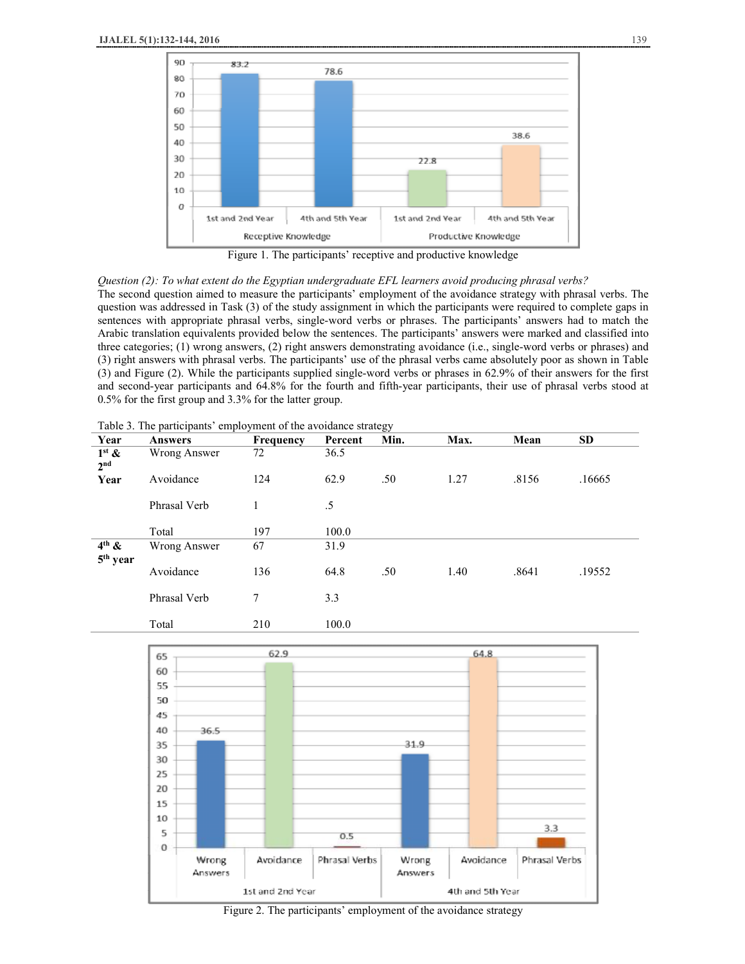

*Question (2): To what extent do the Egyptian undergraduate EFL learners avoid producing phrasal verbs?*  The second question aimed to measure the participants' employment of the avoidance strategy with phrasal verbs. The question was addressed in Task (3) of the study assignment in which the participants were required to complete gaps in sentences with appropriate phrasal verbs, single-word verbs or phrases. The participants' answers had to match the Arabic translation equivalents provided below the sentences. The participants' answers were marked and classified into three categories; (1) wrong answers, (2) right answers demonstrating avoidance (i.e., single-word verbs or phrases) and (3) right answers with phrasal verbs. The participants' use of the phrasal verbs came absolutely poor as shown in Table (3) and Figure (2). While the participants supplied single-word verbs or phrases in 62.9% of their answers for the first and second-year participants and 64.8% for the fourth and fifth-year participants, their use of phrasal verbs stood at 0.5% for the first group and 3.3% for the latter group.

| Table 3. The participants' employment of the avoidance strategy |  |  |  |  |
|-----------------------------------------------------------------|--|--|--|--|
|-----------------------------------------------------------------|--|--|--|--|

| Year                            | <b>Answers</b> | Frequency | Percent | Min. | Max. | Mean  | <b>SD</b> |
|---------------------------------|----------------|-----------|---------|------|------|-------|-----------|
| $1^{st}$ &<br>2 <sup>nd</sup>   | Wrong Answer   | 72        | 36.5    |      |      |       |           |
| Year                            | Avoidance      | 124       | 62.9    | .50  | 1.27 | .8156 | .16665    |
|                                 | Phrasal Verb   |           | .5      |      |      |       |           |
|                                 | Total          | 197       | 100.0   |      |      |       |           |
| $4th$ &<br>5 <sup>th</sup> year | Wrong Answer   | 67        | 31.9    |      |      |       |           |
|                                 | Avoidance      | 136       | 64.8    | .50  | 1.40 | .8641 | .19552    |
|                                 | Phrasal Verb   | 7         | 3.3     |      |      |       |           |
|                                 | Total          | 210       | 100.0   |      |      |       |           |



Figure 2. The participants' employment of the avoidance strategy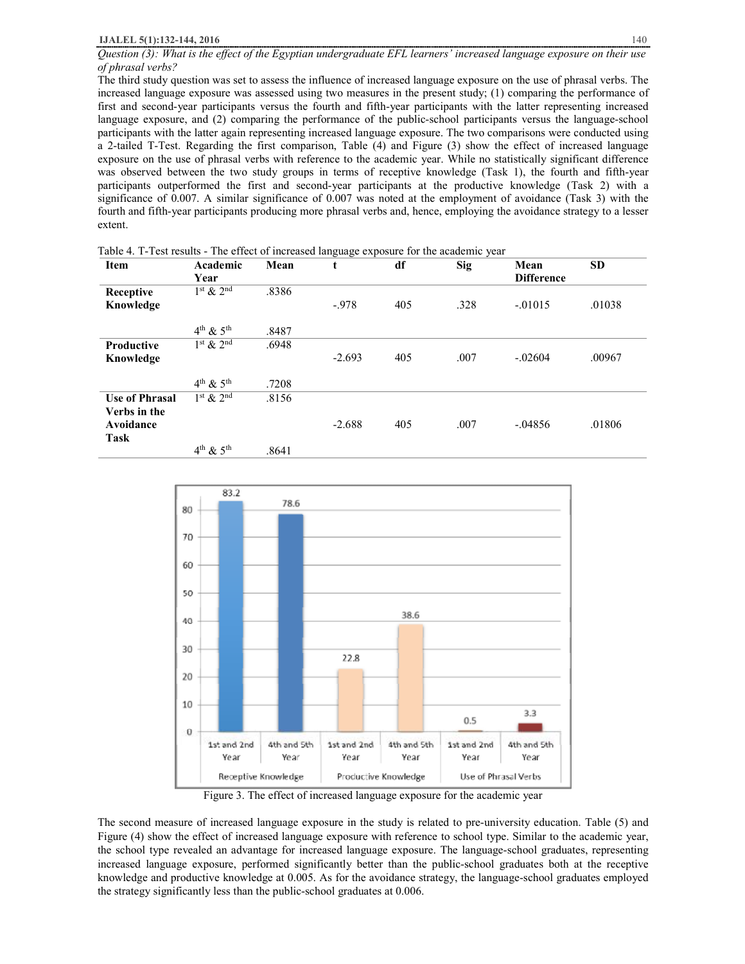*Question (3): What is the effect of the Egyptian undergraduate EFL learners' increased language exposure on their use of phrasal verbs?* 

The third study question was set to assess the influence of increased language exposure on the use of phrasal verbs. The increased language exposure was assessed using two measures in the present study; (1) comparing the performance of first and second-year participants versus the fourth and fifth-year participants with the latter representing increased language exposure, and (2) comparing the performance of the public-school participants versus the language-school participants with the latter again representing increased language exposure. The two comparisons were conducted using a 2-tailed T-Test. Regarding the first comparison, Table (4) and Figure (3) show the effect of increased language exposure on the use of phrasal verbs with reference to the academic year. While no statistically significant difference was observed between the two study groups in terms of receptive knowledge (Task 1), the fourth and fifth-year participants outperformed the first and second-year participants at the productive knowledge (Task 2) with a significance of 0.007. A similar significance of 0.007 was noted at the employment of avoidance (Task 3) with the fourth and fifth-year participants producing more phrasal verbs and, hence, employing the avoidance strategy to a lesser extent.

| <b>Item</b>           | Academic            | Mean  | t        | df  | <b>Sig</b> | Mean              | <b>SD</b> |
|-----------------------|---------------------|-------|----------|-----|------------|-------------------|-----------|
|                       | Year                |       |          |     |            | <b>Difference</b> |           |
| Receptive             | $1st$ & $2nd$       | .8386 |          |     |            |                   |           |
| Knowledge             |                     |       | $-.978$  | 405 | .328       | $-.01015$         | .01038    |
|                       |                     |       |          |     |            |                   |           |
|                       | $4^{th}$ & $5^{th}$ | .8487 |          |     |            |                   |           |
| <b>Productive</b>     | $1st$ & $2nd$       | .6948 |          |     |            |                   |           |
| Knowledge             |                     |       | $-2.693$ | 405 | .007       | $-.02604$         | .00967    |
|                       |                     |       |          |     |            |                   |           |
|                       | $4th$ & $5th$       | .7208 |          |     |            |                   |           |
| <b>Use of Phrasal</b> | $1st$ & $2nd$       | .8156 |          |     |            |                   |           |
| Verbs in the          |                     |       |          |     |            |                   |           |
| Avoidance             |                     |       | $-2.688$ | 405 | .007       | $-.04856$         | .01806    |
| <b>Task</b>           |                     |       |          |     |            |                   |           |
|                       | $4th$ & $5th$       | .8641 |          |     |            |                   |           |

Table 4. T-Test results - The effect of increased language exposure for the academic year



Figure 3. The effect of increased language exposure for the academic year

The second measure of increased language exposure in the study is related to pre-university education. Table (5) and Figure (4) show the effect of increased language exposure with reference to school type. Similar to the academic year, the school type revealed an advantage for increased language exposure. The language-school graduates, representing increased language exposure, performed significantly better than the public-school graduates both at the receptive knowledge and productive knowledge at 0.005. As for the avoidance strategy, the language-school graduates employed the strategy significantly less than the public-school graduates at 0.006.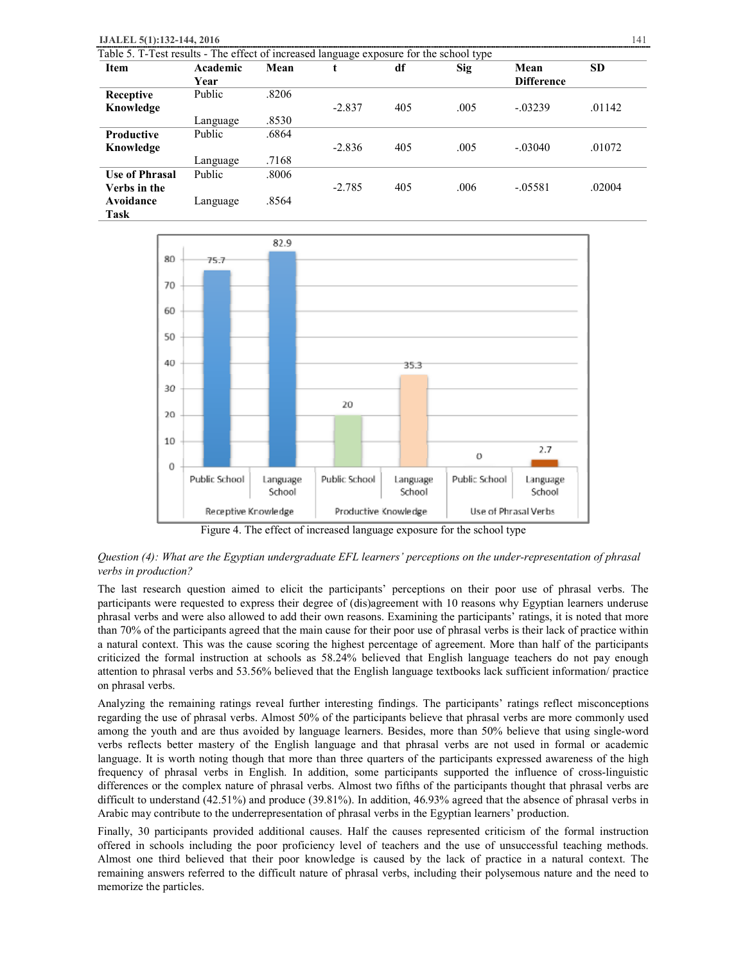| IJALEL 5(1):132-144, 2016 | Table 5. T-Test results - The effect of increased language exposure for the school type |       |          |     |      |                   | 141    |
|---------------------------|-----------------------------------------------------------------------------------------|-------|----------|-----|------|-------------------|--------|
| <b>Item</b>               | Academic                                                                                | Mean  |          | df  | Sig  | Mean              | SD     |
|                           | Year                                                                                    |       |          |     |      | <b>Difference</b> |        |
| Receptive                 | Public                                                                                  | .8206 |          |     |      |                   |        |
| Knowledge                 |                                                                                         |       | $-2.837$ | 405 | .005 | $-03239$          | .01142 |
|                           | Language                                                                                | .8530 |          |     |      |                   |        |
|                           | _ _ _ _                                                                                 | ----  |          |     |      |                   |        |

| <b>Productive</b>     | Public   | .6864 |          |     |      |           |        |
|-----------------------|----------|-------|----------|-----|------|-----------|--------|
| Knowledge             |          |       | $-2.836$ | 405 | .005 | $-.03040$ | .01072 |
|                       | Language | .7168 |          |     |      |           |        |
| <b>Use of Phrasal</b> | Public   | .8006 |          |     |      |           |        |
| Verbs in the          |          |       | $-2.785$ | 405 | .006 | $-.05581$ | .02004 |
| Avoidance             | Language | .8564 |          |     |      |           |        |
| $\sim$ $\sim$         |          |       |          |     |      |           |        |

**Task** 



Figure 4. The effect of increased language exposure for the school type

# *Question (4): What are the Egyptian undergraduate EFL learners' perceptions on the under-representation of phrasal verbs in production?*

The last research question aimed to elicit the participants' perceptions on their poor use of phrasal verbs. The participants were requested to express their degree of (dis)agreement with 10 reasons why Egyptian learners underuse phrasal verbs and were also allowed to add their own reasons. Examining the participants' ratings, it is noted that more than 70% of the participants agreed that the main cause for their poor use of phrasal verbs is their lack of practice within a natural context. This was the cause scoring the highest percentage of agreement. More than half of the participants criticized the formal instruction at schools as 58.24% believed that English language teachers do not pay enough attention to phrasal verbs and 53.56% believed that the English language textbooks lack sufficient information/ practice on phrasal verbs.

Analyzing the remaining ratings reveal further interesting findings. The participants' ratings reflect misconceptions regarding the use of phrasal verbs. Almost 50% of the participants believe that phrasal verbs are more commonly used among the youth and are thus avoided by language learners. Besides, more than 50% believe that using single-word verbs reflects better mastery of the English language and that phrasal verbs are not used in formal or academic language. It is worth noting though that more than three quarters of the participants expressed awareness of the high frequency of phrasal verbs in English. In addition, some participants supported the influence of cross-linguistic differences or the complex nature of phrasal verbs. Almost two fifths of the participants thought that phrasal verbs are difficult to understand (42.51%) and produce (39.81%). In addition, 46.93% agreed that the absence of phrasal verbs in Arabic may contribute to the underrepresentation of phrasal verbs in the Egyptian learners' production.

Finally, 30 participants provided additional causes. Half the causes represented criticism of the formal instruction offered in schools including the poor proficiency level of teachers and the use of unsuccessful teaching methods. Almost one third believed that their poor knowledge is caused by the lack of practice in a natural context. The remaining answers referred to the difficult nature of phrasal verbs, including their polysemous nature and the need to memorize the particles.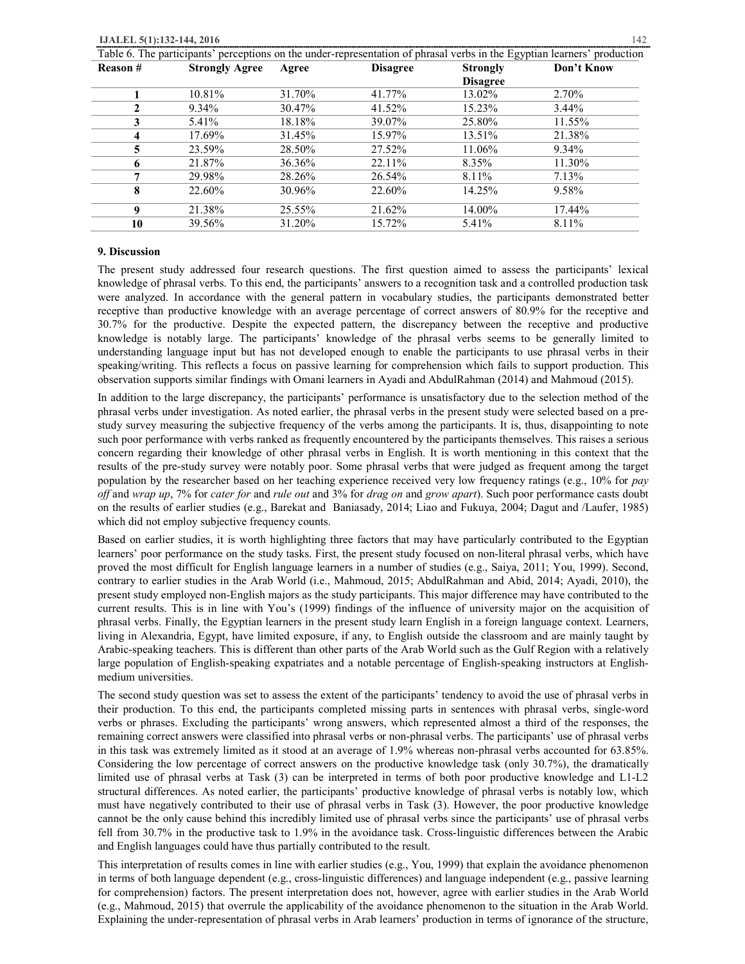Table 6. The participants' perceptions on the under-representation of phrasal verbs in the Egyptian learners' production

| <b>Reason#</b> | <b>Strongly Agree</b> | Agree  | <b>Disagree</b> | <b>Strongly</b> | Don't Know |
|----------------|-----------------------|--------|-----------------|-----------------|------------|
|                |                       |        |                 | <b>Disagree</b> |            |
|                | 10.81%                | 31.70% | 41.77%          | 13.02%          | 2.70%      |
|                | 9.34%                 | 30.47% | 41.52%          | 15.23%          | $3.44\%$   |
| 3              | 5.41%                 | 18.18% | 39.07%          | 25.80%          | 11.55%     |
| 4              | 17.69%                | 31.45% | 15.97%          | 13.51%          | 21.38%     |
| 5.             | 23.59%                | 28.50% | 27.52%          | 11.06%          | 9.34%      |
| 6              | 21.87%                | 36.36% | 22.11%          | 8.35%           | 11.30%     |
|                | 29.98%                | 28.26% | 26.54%          | 8.11%           | 7.13%      |
| 8              | 22.60%                | 30.96% | 22.60%          | 14.25%          | 9.58%      |
| 9              | 21.38%                | 25.55% | 21.62%          | 14.00%          | 17.44%     |
| 10             | 39.56%                | 31.20% | 15.72%          | 5.41%           | 8.11%      |

#### **9. Discussion**

The present study addressed four research questions. The first question aimed to assess the participants' lexical knowledge of phrasal verbs. To this end, the participants' answers to a recognition task and a controlled production task were analyzed. In accordance with the general pattern in vocabulary studies, the participants demonstrated better receptive than productive knowledge with an average percentage of correct answers of 80.9% for the receptive and 30.7% for the productive. Despite the expected pattern, the discrepancy between the receptive and productive knowledge is notably large. The participants' knowledge of the phrasal verbs seems to be generally limited to understanding language input but has not developed enough to enable the participants to use phrasal verbs in their speaking/writing. This reflects a focus on passive learning for comprehension which fails to support production. This observation supports similar findings with Omani learners in Ayadi and AbdulRahman (2014) and Mahmoud (2015).

In addition to the large discrepancy, the participants' performance is unsatisfactory due to the selection method of the phrasal verbs under investigation. As noted earlier, the phrasal verbs in the present study were selected based on a prestudy survey measuring the subjective frequency of the verbs among the participants. It is, thus, disappointing to note such poor performance with verbs ranked as frequently encountered by the participants themselves. This raises a serious concern regarding their knowledge of other phrasal verbs in English. It is worth mentioning in this context that the results of the pre-study survey were notably poor. Some phrasal verbs that were judged as frequent among the target population by the researcher based on her teaching experience received very low frequency ratings (e.g., 10% for *pay off* and *wrap up*, 7% for *cater for* and *rule out* and 3% for *drag on* and *grow apart*). Such poor performance casts doubt on the results of earlier studies (e.g., Barekat and Baniasady, 2014; Liao and Fukuya, 2004; Dagut and /Laufer, 1985) which did not employ subjective frequency counts.

Based on earlier studies, it is worth highlighting three factors that may have particularly contributed to the Egyptian learners' poor performance on the study tasks. First, the present study focused on non-literal phrasal verbs, which have proved the most difficult for English language learners in a number of studies (e.g., Saiya, 2011; You, 1999). Second, contrary to earlier studies in the Arab World (i.e., Mahmoud, 2015; AbdulRahman and Abid, 2014; Ayadi, 2010), the present study employed non-English majors as the study participants. This major difference may have contributed to the current results. This is in line with You's (1999) findings of the influence of university major on the acquisition of phrasal verbs. Finally, the Egyptian learners in the present study learn English in a foreign language context. Learners, living in Alexandria, Egypt, have limited exposure, if any, to English outside the classroom and are mainly taught by Arabic-speaking teachers. This is different than other parts of the Arab World such as the Gulf Region with a relatively large population of English-speaking expatriates and a notable percentage of English-speaking instructors at Englishmedium universities.

The second study question was set to assess the extent of the participants' tendency to avoid the use of phrasal verbs in their production. To this end, the participants completed missing parts in sentences with phrasal verbs, single-word verbs or phrases. Excluding the participants' wrong answers, which represented almost a third of the responses, the remaining correct answers were classified into phrasal verbs or non-phrasal verbs. The participants' use of phrasal verbs in this task was extremely limited as it stood at an average of 1.9% whereas non-phrasal verbs accounted for 63.85%. Considering the low percentage of correct answers on the productive knowledge task (only 30.7%), the dramatically limited use of phrasal verbs at Task (3) can be interpreted in terms of both poor productive knowledge and L1-L2 structural differences. As noted earlier, the participants' productive knowledge of phrasal verbs is notably low, which must have negatively contributed to their use of phrasal verbs in Task (3). However, the poor productive knowledge cannot be the only cause behind this incredibly limited use of phrasal verbs since the participants' use of phrasal verbs fell from 30.7% in the productive task to 1.9% in the avoidance task. Cross-linguistic differences between the Arabic and English languages could have thus partially contributed to the result.

This interpretation of results comes in line with earlier studies (e.g., You, 1999) that explain the avoidance phenomenon in terms of both language dependent (e.g., cross-linguistic differences) and language independent (e.g., passive learning for comprehension) factors. The present interpretation does not, however, agree with earlier studies in the Arab World (e.g., Mahmoud, 2015) that overrule the applicability of the avoidance phenomenon to the situation in the Arab World. Explaining the under-representation of phrasal verbs in Arab learners' production in terms of ignorance of the structure,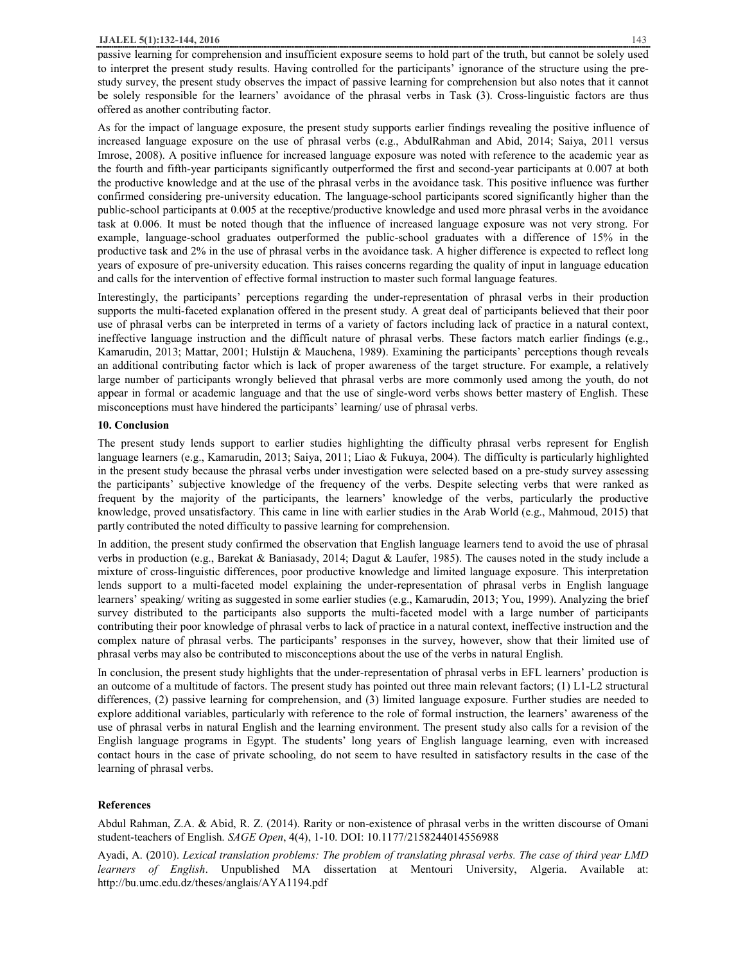### **IJALEL 5(1):132-144, 2016** 143

passive learning for comprehension and insufficient exposure seems to hold part of the truth, but cannot be solely used to interpret the present study results. Having controlled for the participants' ignorance of the structure using the prestudy survey, the present study observes the impact of passive learning for comprehension but also notes that it cannot be solely responsible for the learners' avoidance of the phrasal verbs in Task (3). Cross-linguistic factors are thus offered as another contributing factor.

As for the impact of language exposure, the present study supports earlier findings revealing the positive influence of increased language exposure on the use of phrasal verbs (e.g., AbdulRahman and Abid, 2014; Saiya, 2011 versus Imrose, 2008). A positive influence for increased language exposure was noted with reference to the academic year as the fourth and fifth-year participants significantly outperformed the first and second-year participants at 0.007 at both the productive knowledge and at the use of the phrasal verbs in the avoidance task. This positive influence was further confirmed considering pre-university education. The language-school participants scored significantly higher than the public-school participants at 0.005 at the receptive/productive knowledge and used more phrasal verbs in the avoidance task at 0.006. It must be noted though that the influence of increased language exposure was not very strong. For example, language-school graduates outperformed the public-school graduates with a difference of 15% in the productive task and 2% in the use of phrasal verbs in the avoidance task. A higher difference is expected to reflect long years of exposure of pre-university education. This raises concerns regarding the quality of input in language education and calls for the intervention of effective formal instruction to master such formal language features.

Interestingly, the participants' perceptions regarding the under-representation of phrasal verbs in their production supports the multi-faceted explanation offered in the present study. A great deal of participants believed that their poor use of phrasal verbs can be interpreted in terms of a variety of factors including lack of practice in a natural context, ineffective language instruction and the difficult nature of phrasal verbs. These factors match earlier findings (e.g., Kamarudin, 2013; Mattar, 2001; Hulstijn & Mauchena, 1989). Examining the participants' perceptions though reveals an additional contributing factor which is lack of proper awareness of the target structure. For example, a relatively large number of participants wrongly believed that phrasal verbs are more commonly used among the youth, do not appear in formal or academic language and that the use of single-word verbs shows better mastery of English. These misconceptions must have hindered the participants' learning/ use of phrasal verbs.

#### **10. Conclusion**

The present study lends support to earlier studies highlighting the difficulty phrasal verbs represent for English language learners (e.g., Kamarudin, 2013; Saiya, 2011; Liao & Fukuya, 2004). The difficulty is particularly highlighted in the present study because the phrasal verbs under investigation were selected based on a pre-study survey assessing the participants' subjective knowledge of the frequency of the verbs. Despite selecting verbs that were ranked as frequent by the majority of the participants, the learners' knowledge of the verbs, particularly the productive knowledge, proved unsatisfactory. This came in line with earlier studies in the Arab World (e.g., Mahmoud, 2015) that partly contributed the noted difficulty to passive learning for comprehension.

In addition, the present study confirmed the observation that English language learners tend to avoid the use of phrasal verbs in production (e.g., Barekat & Baniasady, 2014; Dagut & Laufer, 1985). The causes noted in the study include a mixture of cross-linguistic differences, poor productive knowledge and limited language exposure. This interpretation lends support to a multi-faceted model explaining the under-representation of phrasal verbs in English language learners' speaking/ writing as suggested in some earlier studies (e.g., Kamarudin, 2013; You, 1999). Analyzing the brief survey distributed to the participants also supports the multi-faceted model with a large number of participants contributing their poor knowledge of phrasal verbs to lack of practice in a natural context, ineffective instruction and the complex nature of phrasal verbs. The participants' responses in the survey, however, show that their limited use of phrasal verbs may also be contributed to misconceptions about the use of the verbs in natural English.

In conclusion, the present study highlights that the under-representation of phrasal verbs in EFL learners' production is an outcome of a multitude of factors. The present study has pointed out three main relevant factors; (1) L1-L2 structural differences, (2) passive learning for comprehension, and (3) limited language exposure. Further studies are needed to explore additional variables, particularly with reference to the role of formal instruction, the learners' awareness of the use of phrasal verbs in natural English and the learning environment. The present study also calls for a revision of the English language programs in Egypt. The students' long years of English language learning, even with increased contact hours in the case of private schooling, do not seem to have resulted in satisfactory results in the case of the learning of phrasal verbs.

## **References**

Abdul Rahman, Z.A. & Abid, R. Z. (2014). Rarity or non-existence of phrasal verbs in the written discourse of Omani student-teachers of English. *SAGE Open*, 4(4), 1-10. DOI: 10.1177/2158244014556988

Ayadi, A. (2010). *Lexical translation problems: The problem of translating phrasal verbs. The case of third year LMD learners of English*. Unpublished MA dissertation at Mentouri University, Algeria. Available at: http://bu.umc.edu.dz/theses/anglais/AYA1194.pdf